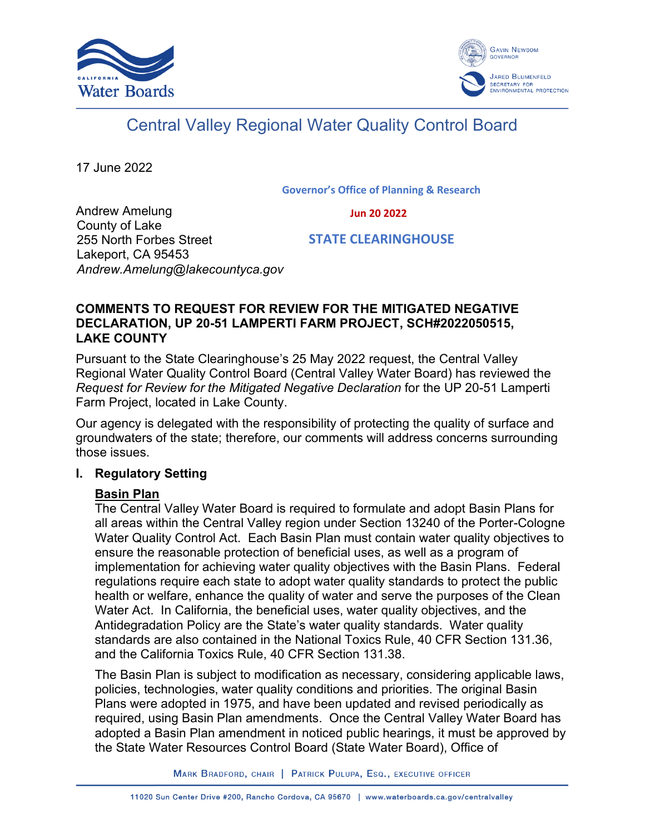



# Central Valley Regional Water Quality Control Board

17 June 2022

**Governor's Office of Planning & Research**

 **Jun 20 2022**

Andrew Amelung County of Lake 255 North Forbes Street Lakeport, CA 95453 *Andrew.Amelung@lakecountyca.gov*

 **STATE CLEARINGHOUSE**

## **COMMENTS TO REQUEST FOR REVIEW FOR THE MITIGATED NEGATIVE DECLARATION, UP 20-51 LAMPERTI FARM PROJECT, SCH#2022050515, LAKE COUNTY**

Pursuant to the State Clearinghouse's 25 May 2022 request, the Central Valley Regional Water Quality Control Board (Central Valley Water Board) has reviewed the *Request for Review for the Mitigated Negative Declaration* for the UP 20-51 Lamperti Farm Project, located in Lake County.

Our agency is delegated with the responsibility of protecting the quality of surface and groundwaters of the state; therefore, our comments will address concerns surrounding those issues.

# **I. Regulatory Setting**

# **Basin Plan**

The Central Valley Water Board is required to formulate and adopt Basin Plans for all areas within the Central Valley region under Section 13240 of the Porter-Cologne Water Quality Control Act. Each Basin Plan must contain water quality objectives to ensure the reasonable protection of beneficial uses, as well as a program of implementation for achieving water quality objectives with the Basin Plans. Federal regulations require each state to adopt water quality standards to protect the public health or welfare, enhance the quality of water and serve the purposes of the Clean Water Act. In California, the beneficial uses, water quality objectives, and the Antidegradation Policy are the State's water quality standards. Water quality standards are also contained in the National Toxics Rule, 40 CFR Section 131.36, and the California Toxics Rule, 40 CFR Section 131.38.

The Basin Plan is subject to modification as necessary, considering applicable laws, policies, technologies, water quality conditions and priorities. The original Basin Plans were adopted in 1975, and have been updated and revised periodically as required, using Basin Plan amendments. Once the Central Valley Water Board has adopted a Basin Plan amendment in noticed public hearings, it must be approved by the State Water Resources Control Board (State Water Board), Office of

MARK BRADFORD, CHAIR | PATRICK PULUPA, ESQ., EXECUTIVE OFFICER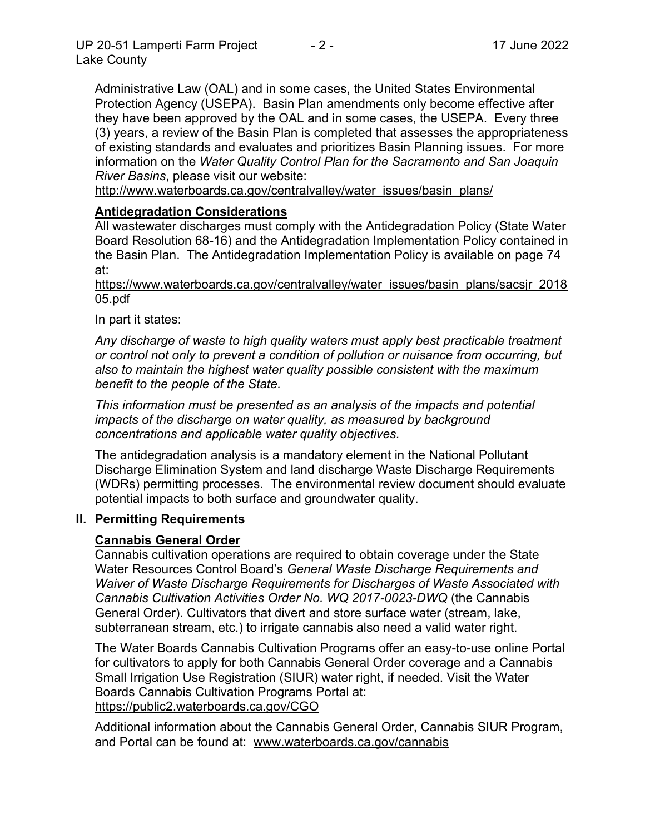Administrative Law (OAL) and in some cases, the United States Environmental Protection Agency (USEPA). Basin Plan amendments only become effective after they have been approved by the OAL and in some cases, the USEPA. Every three (3) years, a review of the Basin Plan is completed that assesses the appropriateness of existing standards and evaluates and prioritizes Basin Planning issues. For more information on the *Water Quality Control Plan for the Sacramento and San Joaquin River Basins*, please visit our website:

[http://www.waterboards.ca.gov/centralvalley/water\\_issues/basin\\_plans/](http://www.waterboards.ca.gov/centralvalley/water_issues/basin_plans/)

## **Antidegradation Considerations**

All wastewater discharges must comply with the Antidegradation Policy (State Water Board Resolution 68-16) and the Antidegradation Implementation Policy contained in the Basin Plan. The Antidegradation Implementation Policy is available on page 74 at:

https://www.waterboards.ca.gov/centralvalley/water\_issues/basin\_plans/sacsjr\_2018 05.pdf

In part it states:

*Any discharge of waste to high quality waters must apply best practicable treatment or control not only to prevent a condition of pollution or nuisance from occurring, but also to maintain the highest water quality possible consistent with the maximum benefit to the people of the State.*

*This information must be presented as an analysis of the impacts and potential impacts of the discharge on water quality, as measured by background concentrations and applicable water quality objectives.*

The antidegradation analysis is a mandatory element in the National Pollutant Discharge Elimination System and land discharge Waste Discharge Requirements (WDRs) permitting processes. The environmental review document should evaluate potential impacts to both surface and groundwater quality.

#### **II. Permitting Requirements**

#### **Cannabis General Order**

Cannabis cultivation operations are required to obtain coverage under the State Water Resources Control Board's *General Waste Discharge Requirements and Waiver of Waste Discharge Requirements for Discharges of Waste Associated with Cannabis Cultivation Activities Order No. WQ 2017-0023-DWQ* (the Cannabis General Order). Cultivators that divert and store surface water (stream, lake, subterranean stream, etc.) to irrigate cannabis also need a valid water right.

The Water Boards Cannabis Cultivation Programs offer an easy-to-use online Portal for cultivators to apply for both Cannabis General Order coverage and a Cannabis Small Irrigation Use Registration (SIUR) water right, if needed. Visit the Water Boards Cannabis Cultivation Programs Portal at: https://public2.waterboards.ca.gov/CGO

Additional information about the Cannabis General Order, Cannabis SIUR Program, and Portal can be found at: www.waterboards.ca.gov/cannabis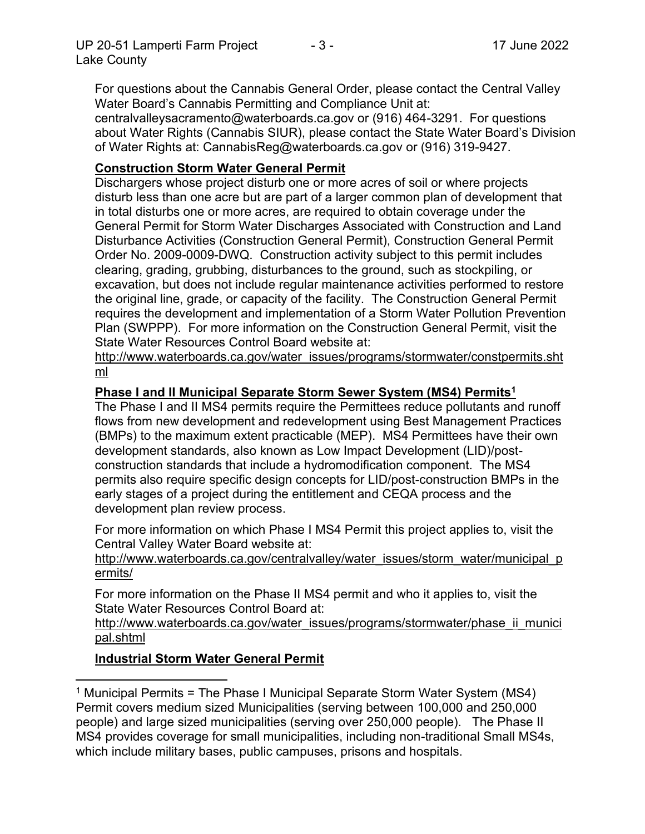For questions about the Cannabis General Order, please contact the Central Valley Water Board's Cannabis Permitting and Compliance Unit at: centralvalleysacramento@waterboards.ca.gov or (916) 464-3291. For questions about Water Rights (Cannabis SIUR), please contact the State Water Board's Division of Water Rights at: CannabisReg@waterboards.ca.gov or (916) 319-9427.

# **Construction Storm Water General Permit**

Dischargers whose project disturb one or more acres of soil or where projects disturb less than one acre but are part of a larger common plan of development that in total disturbs one or more acres, are required to obtain coverage under the General Permit for Storm Water Discharges Associated with Construction and Land Disturbance Activities (Construction General Permit), Construction General Permit Order No. 2009-0009-DWQ. Construction activity subject to this permit includes clearing, grading, grubbing, disturbances to the ground, such as stockpiling, or excavation, but does not include regular maintenance activities performed to restore the original line, grade, or capacity of the facility. The Construction General Permit requires the development and implementation of a Storm Water Pollution Prevention Plan (SWPPP). For more information on the Construction General Permit, visit the State Water Resources Control Board website at:

[http://www.waterboards.ca.gov/water\\_issues/programs/stormwater/constpermits.sht](http://www.waterboards.ca.gov/water_issues/programs/stormwater/constpermits.shtml) [ml](http://www.waterboards.ca.gov/water_issues/programs/stormwater/constpermits.shtml)

#### **Phase I and II Municipal Separate Storm Sewer System (MS4) Permits<sup>1</sup>**

The Phase I and II MS4 permits require the Permittees reduce pollutants and runoff flows from new development and redevelopment using Best Management Practices (BMPs) to the maximum extent practicable (MEP). MS4 Permittees have their own development standards, also known as Low Impact Development (LID)/postconstruction standards that include a hydromodification component. The MS4 permits also require specific design concepts for LID/post-construction BMPs in the early stages of a project during the entitlement and CEQA process and the development plan review process.

For more information on which Phase I MS4 Permit this project applies to, visit the Central Valley Water Board website at:

http://www.waterboards.ca.gov/centralvalley/water\_issues/storm\_water/municipal\_p ermits/

For more information on the Phase II MS4 permit and who it applies to, visit the State Water Resources Control Board at:

http://www.waterboards.ca.gov/water\_issues/programs/stormwater/phase\_ii\_munici pal.shtml

#### **Industrial Storm Water General Permit**

<sup>&</sup>lt;sup>1</sup> Municipal Permits = The Phase I Municipal Separate Storm Water System (MS4) Permit covers medium sized Municipalities (serving between 100,000 and 250,000 people) and large sized municipalities (serving over 250,000 people). The Phase II MS4 provides coverage for small municipalities, including non-traditional Small MS4s, which include military bases, public campuses, prisons and hospitals.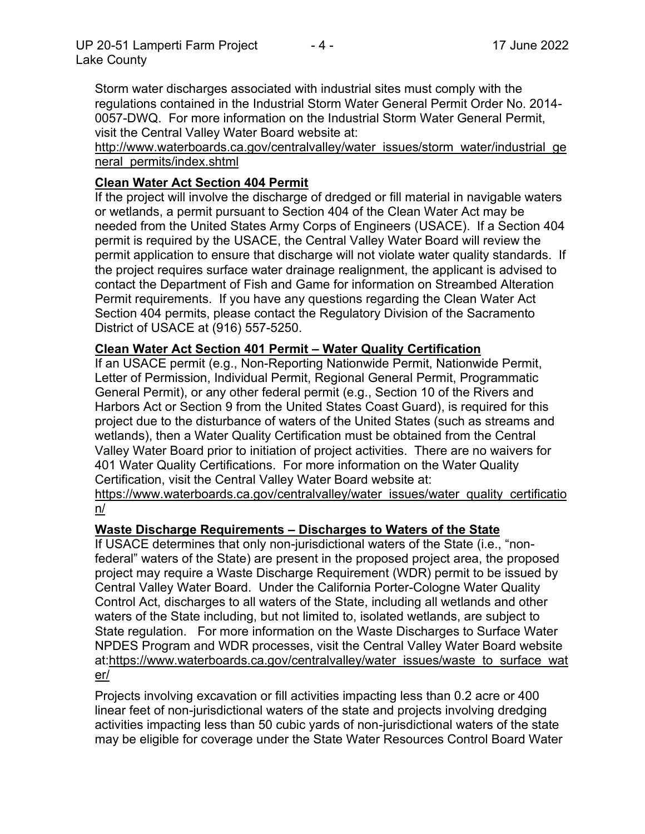Storm water discharges associated with industrial sites must comply with the regulations contained in the Industrial Storm Water General Permit Order No. 2014- 0057-DWQ. For more information on the Industrial Storm Water General Permit, visit the Central Valley Water Board website at:

http://www.waterboards.ca.gov/centralvalley/water\_issues/storm\_water/industrial\_ge neral\_permits/index.shtml

## **Clean Water Act Section 404 Permit**

If the project will involve the discharge of dredged or fill material in navigable waters or wetlands, a permit pursuant to Section 404 of the Clean Water Act may be needed from the United States Army Corps of Engineers (USACE). If a Section 404 permit is required by the USACE, the Central Valley Water Board will review the permit application to ensure that discharge will not violate water quality standards. If the project requires surface water drainage realignment, the applicant is advised to contact the Department of Fish and Game for information on Streambed Alteration Permit requirements. If you have any questions regarding the Clean Water Act Section 404 permits, please contact the Regulatory Division of the Sacramento District of USACE at (916) 557-5250.

#### **Clean Water Act Section 401 Permit – Water Quality Certification**

If an USACE permit (e.g., Non-Reporting Nationwide Permit, Nationwide Permit, Letter of Permission, Individual Permit, Regional General Permit, Programmatic General Permit), or any other federal permit (e.g., Section 10 of the Rivers and Harbors Act or Section 9 from the United States Coast Guard), is required for this project due to the disturbance of waters of the United States (such as streams and wetlands), then a Water Quality Certification must be obtained from the Central Valley Water Board prior to initiation of project activities. There are no waivers for 401 Water Quality Certifications. For more information on the Water Quality Certification, visit the Central Valley Water Board website at:

https://www.waterboards.ca.gov/centralvalley/water\_issues/water\_quality\_certificatio n/

#### **Waste Discharge Requirements – Discharges to Waters of the State**

If USACE determines that only non-jurisdictional waters of the State (i.e., "nonfederal" waters of the State) are present in the proposed project area, the proposed project may require a Waste Discharge Requirement (WDR) permit to be issued by Central Valley Water Board. Under the California Porter-Cologne Water Quality Control Act, discharges to all waters of the State, including all wetlands and other waters of the State including, but not limited to, isolated wetlands, are subject to State regulation. For more information on the Waste Discharges to Surface Water NPDES Program and WDR processes, visit the Central Valley Water Board website at:https://www.waterboards.ca.gov/centralvalley/water\_issues/waste\_to\_surface\_wat er/

Projects involving excavation or fill activities impacting less than 0.2 acre or 400 linear feet of non-jurisdictional waters of the state and projects involving dredging activities impacting less than 50 cubic yards of non-jurisdictional waters of the state may be eligible for coverage under the State Water Resources Control Board Water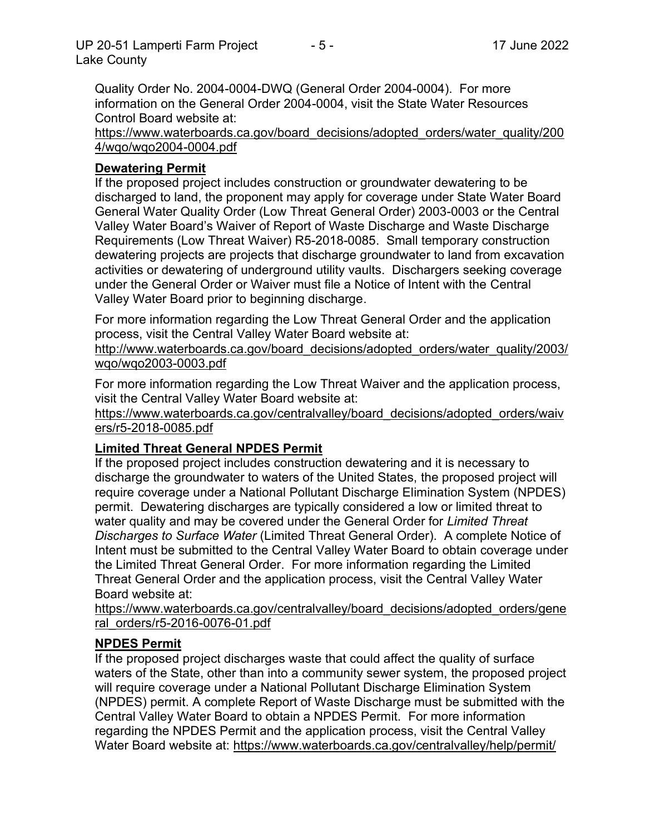Quality Order No. 2004-0004-DWQ (General Order 2004-0004). For more information on the General Order 2004-0004, visit the State Water Resources Control Board website at:

https://www.waterboards.ca.gov/board\_decisions/adopted\_orders/water\_quality/200 4/wqo/wqo2004-0004.pdf

# **Dewatering Permit**

If the proposed project includes construction or groundwater dewatering to be discharged to land, the proponent may apply for coverage under State Water Board General Water Quality Order (Low Threat General Order) 2003-0003 or the Central Valley Water Board's Waiver of Report of Waste Discharge and Waste Discharge Requirements (Low Threat Waiver) R5-2018-0085. Small temporary construction dewatering projects are projects that discharge groundwater to land from excavation activities or dewatering of underground utility vaults. Dischargers seeking coverage under the General Order or Waiver must file a Notice of Intent with the Central Valley Water Board prior to beginning discharge.

For more information regarding the Low Threat General Order and the application process, visit the Central Valley Water Board website at:

http://www.waterboards.ca.gov/board decisions/adopted orders/water quality/2003/ wqo/wqo2003-0003.pdf

For more information regarding the Low Threat Waiver and the application process, visit the Central Valley Water Board website at:

https://www.waterboards.ca.gov/centralvalley/board\_decisions/adopted\_orders/waiv ers/r5-2018-0085.pdf

#### **Limited Threat General NPDES Permit**

If the proposed project includes construction dewatering and it is necessary to discharge the groundwater to waters of the United States, the proposed project will require coverage under a National Pollutant Discharge Elimination System (NPDES) permit. Dewatering discharges are typically considered a low or limited threat to water quality and may be covered under the General Order for *Limited Threat Discharges to Surface Water* (Limited Threat General Order). A complete Notice of Intent must be submitted to the Central Valley Water Board to obtain coverage under the Limited Threat General Order. For more information regarding the Limited Threat General Order and the application process, visit the Central Valley Water Board website at:

https://www.waterboards.ca.gov/centralvalley/board\_decisions/adopted\_orders/gene ral\_orders/r5-2016-0076-01.pdf

#### **NPDES Permit**

If the proposed project discharges waste that could affect the quality of surface waters of the State, other than into a community sewer system, the proposed project will require coverage under a National Pollutant Discharge Elimination System (NPDES) permit. A complete Report of Waste Discharge must be submitted with the Central Valley Water Board to obtain a NPDES Permit. For more information regarding the NPDES Permit and the application process, visit the Central Valley Water Board website at: https://www.waterboards.ca.gov/centralvalley/help/permit/